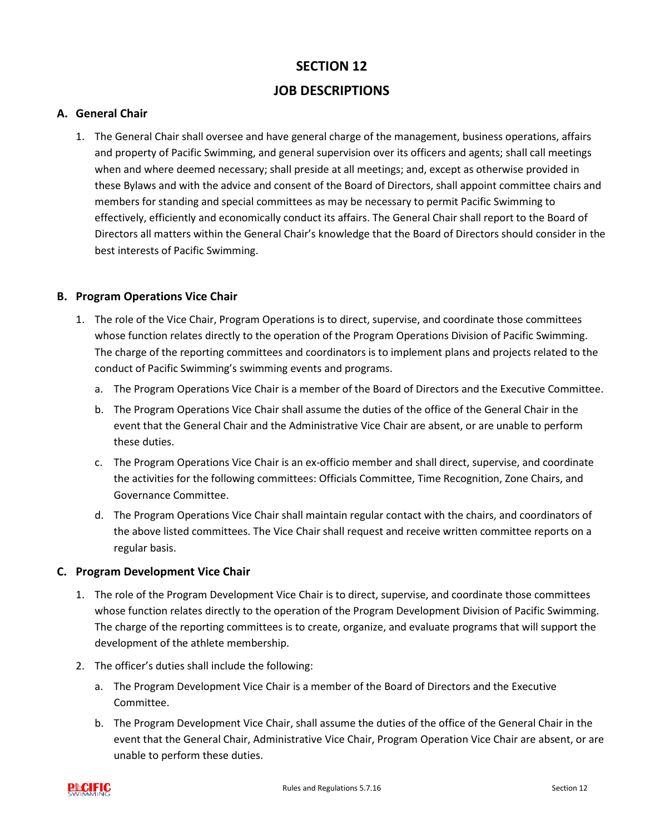# **SECTION 12 JOB DESCRIPTIONS**

#### **A. General Chair**

1. The General Chair shall oversee and have general charge of the management, business operations, affairs and property of Pacific Swimming, and general supervision over its officers and agents; shall call meetings when and where deemed necessary; shall preside at all meetings; and, except as otherwise provided in these Bylaws and with the advice and consent of the Board of Directors, shall appoint committee chairs and members for standing and special committees as may be necessary to permit Pacific Swimming to effectively, efficiently and economically conduct its affairs. The General Chair shall report to the Board of Directors all matters within the General Chair's knowledge that the Board of Directors should consider in the best interests of Pacific Swimming.

#### **B. Program Operations Vice Chair**

- 1. The role of the Vice Chair, Program Operations is to direct, supervise, and coordinate those committees whose function relates directly to the operation of the Program Operations Division of Pacific Swimming. The charge of the reporting committees and coordinators is to implement plans and projects related to the conduct of Pacific Swimming's swimming events and programs.
	- a. The Program Operations Vice Chair is a member of the Board of Directors and the Executive Committee.
	- b. The Program Operations Vice Chair shall assume the duties of the office of the General Chair in the event that the General Chair and the Administrative Vice Chair are absent, or are unable to perform these duties.
	- c. The Program Operations Vice Chair is an ex-officio member and shall direct, supervise, and coordinate the activities for the following committees: Officials Committee, Time Recognition, Zone Chairs, and Governance Committee.
	- d. The Program Operations Vice Chair shall maintain regular contact with the chairs, and coordinators of the above listed committees. The Vice Chair shall request and receive written committee reports on a regular basis.

#### **C. Program Development Vice Chair**

- 1. The role of the Program Development Vice Chair is to direct, supervise, and coordinate those committees whose function relates directly to the operation of the Program Development Division of Pacific Swimming. The charge of the reporting committees is to create, organize, and evaluate programs that will support the development of the athlete membership.
- 2. The officer's duties shall include the following:
	- a. The Program Development Vice Chair is a member of the Board of Directors and the Executive Committee.
	- b. The Program Development Vice Chair, shall assume the duties of the office of the General Chair in the event that the General Chair, Administrative Vice Chair, Program Operation Vice Chair are absent, or are unable to perform these duties.

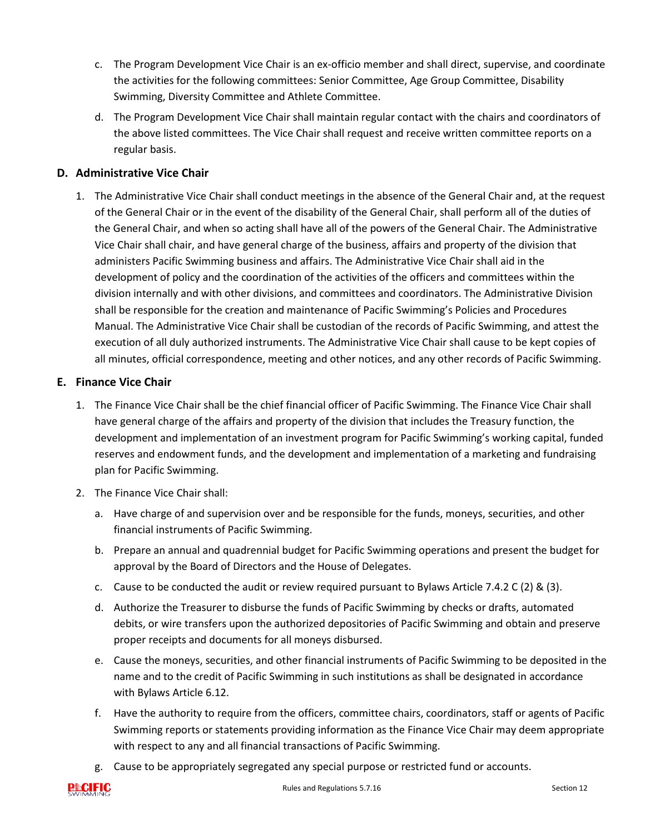- c. The Program Development Vice Chair is an ex-officio member and shall direct, supervise, and coordinate the activities for the following committees: Senior Committee, Age Group Committee, Disability Swimming, Diversity Committee and Athlete Committee.
- d. The Program Development Vice Chair shall maintain regular contact with the chairs and coordinators of the above listed committees. The Vice Chair shall request and receive written committee reports on a regular basis.

## **D. Administrative Vice Chair**

1. The Administrative Vice Chair shall conduct meetings in the absence of the General Chair and, at the request of the General Chair or in the event of the disability of the General Chair, shall perform all of the duties of the General Chair, and when so acting shall have all of the powers of the General Chair. The Administrative Vice Chair shall chair, and have general charge of the business, affairs and property of the division that administers Pacific Swimming business and affairs. The Administrative Vice Chair shall aid in the development of policy and the coordination of the activities of the officers and committees within the division internally and with other divisions, and committees and coordinators. The Administrative Division shall be responsible for the creation and maintenance of Pacific Swimming's Policies and Procedures Manual. The Administrative Vice Chair shall be custodian of the records of Pacific Swimming, and attest the execution of all duly authorized instruments. The Administrative Vice Chair shall cause to be kept copies of all minutes, official correspondence, meeting and other notices, and any other records of Pacific Swimming.

#### **E. Finance Vice Chair**

- 1. The Finance Vice Chair shall be the chief financial officer of Pacific Swimming. The Finance Vice Chair shall have general charge of the affairs and property of the division that includes the Treasury function, the development and implementation of an investment program for Pacific Swimming's working capital, funded reserves and endowment funds, and the development and implementation of a marketing and fundraising plan for Pacific Swimming.
- 2. The Finance Vice Chair shall:
	- a. Have charge of and supervision over and be responsible for the funds, moneys, securities, and other financial instruments of Pacific Swimming.
	- b. Prepare an annual and quadrennial budget for Pacific Swimming operations and present the budget for approval by the Board of Directors and the House of Delegates.
	- c. Cause to be conducted the audit or review required pursuant to Bylaws Article 7.4.2 C (2) & (3).
	- d. Authorize the Treasurer to disburse the funds of Pacific Swimming by checks or drafts, automated debits, or wire transfers upon the authorized depositories of Pacific Swimming and obtain and preserve proper receipts and documents for all moneys disbursed.
	- e. Cause the moneys, securities, and other financial instruments of Pacific Swimming to be deposited in the name and to the credit of Pacific Swimming in such institutions as shall be designated in accordance with Bylaws Article 6.12.
	- f. Have the authority to require from the officers, committee chairs, coordinators, staff or agents of Pacific Swimming reports or statements providing information as the Finance Vice Chair may deem appropriate with respect to any and all financial transactions of Pacific Swimming.
	- g. Cause to be appropriately segregated any special purpose or restricted fund or accounts.